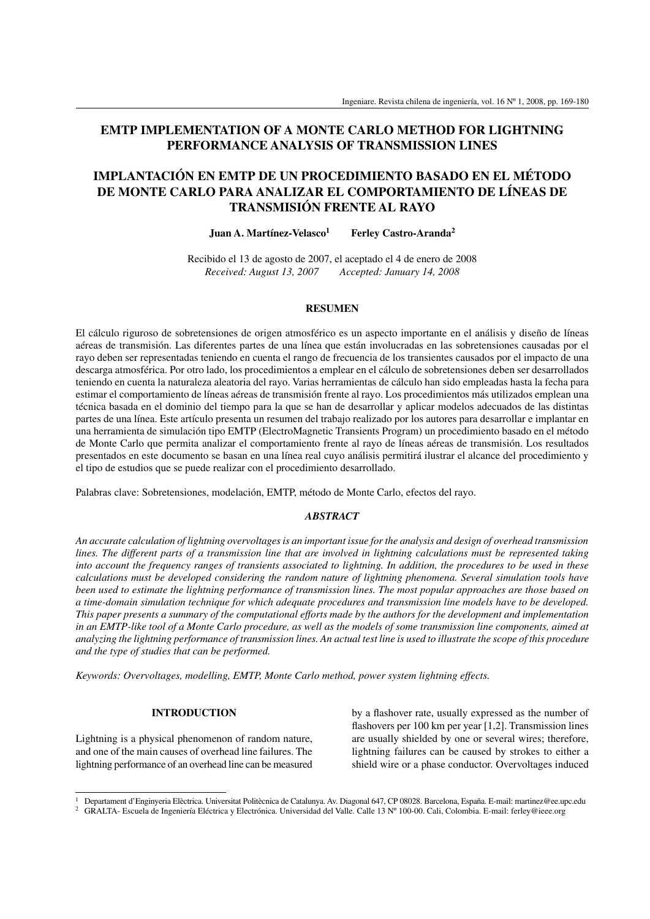# **EMTP IMPLEMENTATION OF A MONTE CARLO METHOD FOR LIGHTNING PERFORMANCE ANALYSIS OF TRANSMISSION LINES**

# **IMPLANTACIÓN EN EMTP DE UN PROCEDIMIENTO BASADO EN EL MÉTODO DE MONTE CARLO PARA ANALIZAR EL COMPORTAMIENTO DE LÍNEAS DE TRANSMISIÓN FRENTE AL RAYO**

**Juan A. Martínez-Velasco<sup>1</sup> Ferley Castro-Aranda<sup>2</sup>**

Recibido el 13 de agosto de 2007, el aceptado el 4 de enero de 2008 *Received: August 13, 2007 Accepted: January 14, 2008*

## **RESUMEN**

El cálculo riguroso de sobretensiones de origen atmosférico es un aspecto importante en el análisis y diseño de líneas aéreas de transmisión. Las diferentes partes de una línea que están involucradas en las sobretensiones causadas por el rayo deben ser representadas teniendo en cuenta el rango de frecuencia de los transientes causados por el impacto de una descarga atmosférica. Por otro lado, los procedimientos a emplear en el cálculo de sobretensiones deben ser desarrollados teniendo en cuenta la naturaleza aleatoria del rayo. Varias herramientas de cálculo han sido empleadas hasta la fecha para estimar el comportamiento de líneas aéreas de transmisión frente al rayo. Los procedimientos más utilizados emplean una técnica basada en el dominio del tiempo para la que se han de desarrollar y aplicar modelos adecuados de las distintas partes de una línea. Este artículo presenta un resumen del trabajo realizado por los autores para desarrollar e implantar en una herramienta de simulación tipo EMTP (ElectroMagnetic Transients Program) un procedimiento basado en el método de Monte Carlo que permita analizar el comportamiento frente al rayo de líneas aéreas de transmisión. Los resultados presentados en este documento se basan en una línea real cuyo análisis permitirá ilustrar el alcance del procedimiento y el tipo de estudios que se puede realizar con el procedimiento desarrollado.

Palabras clave: Sobretensiones, modelación, EMTP, método de Monte Carlo, efectos del rayo.

## *ABSTRACT*

*An accurate calculation of lightning overvoltages is an important issue for the analysis and design of overhead transmission lines. The different parts of a transmission line that are involved in lightning calculations must be represented taking into account the frequency ranges of transients associated to lightning. In addition, the procedures to be used in these calculations must be developed considering the random nature of lightning phenomena. Several simulation tools have been used to estimate the lightning performance of transmission lines. The most popular approaches are those based on a time-domain simulation technique for which adequate procedures and transmission line models have to be developed. This paper presents a summary of the computational efforts made by the authors for the development and implementation in an EMTP-like tool of a Monte Carlo procedure, as well as the models of some transmission line components, aimed at analyzing the lightning performance of transmission lines. An actual test line is used to illustrate the scope of this procedure and the type of studies that can be performed.*

*Keywords: Overvoltages, modelling, EMTP, Monte Carlo method, power system lightning effects.*

## **INTRODUCTION**

Lightning is a physical phenomenon of random nature, and one of the main causes of overhead line failures. The lightning performance of an overhead line can be measured by a flashover rate, usually expressed as the number of flashovers per  $100 \text{ km}$  per year  $[1,2]$ . Transmission lines are usually shielded by one or several wires; therefore, lightning failures can be caused by strokes to either a shield wire or a phase conductor. Overvoltages induced

<sup>1</sup> Departament d'Enginyeria Elèctrica. Universitat Politècnica de Catalunya. Av. Diagonal 647, CP 08028. Barcelona, España. E-mail: martinez@ee.upc.edu

<sup>&</sup>lt;sup>2</sup> GRALTA- Escuela de Ingeniería Eléctrica y Electrónica. Universidad del Valle. Calle 13 Nº 100-00. Cali, Colombia. E-mail: ferley@ieee.org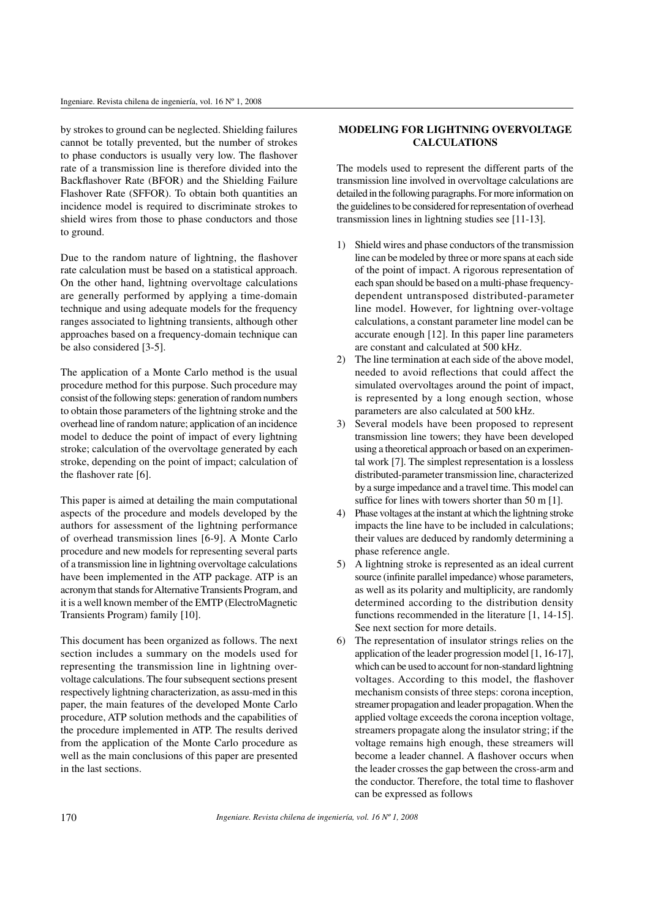by strokes to ground can be neglected. Shielding failures cannot be totally prevented, but the number of strokes to phase conductors is usually very low. The flashover rate of a transmission line is therefore divided into the Backflashover Rate (BFOR) and the Shielding Failure Flashover Rate (SFFOR). To obtain both quantities an incidence model is required to discriminate strokes to shield wires from those to phase conductors and those to ground.

Due to the random nature of lightning, the flashover rate calculation must be based on a statistical approach. On the other hand, lightning overvoltage calculations are generally performed by applying a time-domain technique and using adequate models for the frequency ranges associated to lightning transients, although other approaches based on a frequency-domain technique can be also considered [3-5].

The application of a Monte Carlo method is the usual procedure method for this purpose. Such procedure may consist of the following steps: generation of random numbers to obtain those parameters of the lightning stroke and the overhead line of random nature; application of an incidence model to deduce the point of impact of every lightning stroke; calculation of the overvoltage generated by each stroke, depending on the point of impact; calculation of the flashover rate [6].

This paper is aimed at detailing the main computational aspects of the procedure and models developed by the authors for assessment of the lightning performance of overhead transmission lines [6-9]. A Monte Carlo procedure and new models for representing several parts of a transmission line in lightning overvoltage calculations have been implemented in the ATP package. ATP is an acronym that stands for Alternative Transients Program, and it is a well known member of the EMTP (ElectroMagnetic Transients Program) family [10].

This document has been organized as follows. The next section includes a summary on the models used for representing the transmission line in lightning overvoltage calculations. The four subsequent sections present respectively lightning characterization, as assu-med in this paper, the main features of the developed Monte Carlo procedure, ATP solution methods and the capabilities of the procedure implemented in ATP. The results derived from the application of the Monte Carlo procedure as well as the main conclusions of this paper are presented in the last sections.

# **MODELING FOR LIGHTNING OVERVOLTAGE CALCULATIONS**

The models used to represent the different parts of the transmission line involved in overvoltage calculations are detailed in the following paragraphs. For more information on the guidelines to be considered for representation of overhead transmission lines in lightning studies see [11-13].

- 1) Shield wires and phase conductors of the transmission line can be modeled by three or more spans at each side of the point of impact. A rigorous representation of each span should be based on a multi-phase frequencydependent untransposed distributed-parameter line model. However, for lightning over-voltage calculations, a constant parameter line model can be accurate enough [12]. In this paper line parameters are constant and calculated at 500 kHz.
- 2) The line termination at each side of the above model, needed to avoid reflections that could affect the simulated overvoltages around the point of impact, is represented by a long enough section, whose parameters are also calculated at 500 kHz.
- 3) Several models have been proposed to represent transmission line towers; they have been developed using a theoretical approach or based on an experimental work [7]. The simplest representation is a lossless distributed-parameter transmission line, characterized by a surge impedance and a travel time. This model can suffice for lines with towers shorter than 50 m [1].
- 4) Phase voltages at the instant at which the lightning stroke impacts the line have to be included in calculations; their values are deduced by randomly determining a phase reference angle.
- 5) A lightning stroke is represented as an ideal current source (infinite parallel impedance) whose parameters, as well as its polarity and multiplicity, are randomly determined according to the distribution density functions recommended in the literature [1, 14-15]. See next section for more details.
- 6) The representation of insulator strings relies on the application of the leader progression model [1, 16-17], which can be used to account for non-standard lightning voltages. According to this model, the flashover mechanism consists of three steps: corona inception, streamer propagation and leader propagation. When the applied voltage exceeds the corona inception voltage, streamers propagate along the insulator string; if the voltage remains high enough, these streamers will become a leader channel. A flashover occurs when the leader crosses the gap between the cross-arm and the conductor. Therefore, the total time to flashover can be expressed as follows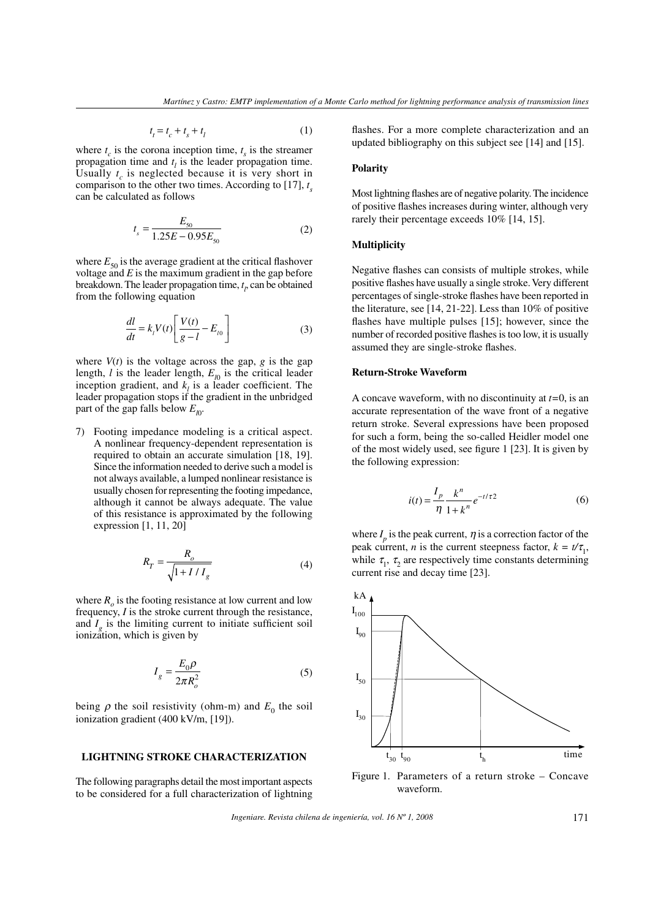$$
t_t = t_c + t_s + t_l \tag{1}
$$

where  $t_c$  is the corona inception time,  $t_s$  is the streamer propagation time and  $t<sub>l</sub>$  is the leader propagation time. Usually  $t_c$  is neglected because it is very short in comparison to the other two times. According to [17], *t s* can be calculated as follows

*t*

$$
t_s = \frac{E_{s0}}{1.25E - 0.95E_{s0}}\tag{2}
$$

where  $E_{50}$  is the average gradient at the critical flashover voltage and  $E$  is the maximum gradient in the gap before breakdown. The leader propagation time,  $t<sub>l</sub>$ , can be obtained from the following equation

$$
\frac{dl}{dt} = k_l V(t) \left[ \frac{V(t)}{g - l} - E_{l0} \right]
$$
 (3)

where  $V(t)$  is the voltage across the gap,  $g$  is the gap length,  $l$  is the leader length,  $E_{j0}$  is the critical leader inception gradient, and  $k_l$  is a leader coefficient. The leader propagation stops if the gradient in the unbridged part of the gap falls below  $E_{l0}$ .

7) Footing impedance modeling is a critical aspect. A nonlinear frequency-dependent representation is required to obtain an accurate simulation [18, 19]. Since the information needed to derive such a model is not always available, a lumped nonlinear resistance is usually chosen for representing the footing impedance, although it cannot be always adequate. The value of this resistance is approximated by the following expression [1, 11, 20]

$$
R_T = \frac{R_o}{\sqrt{1 + I/I_g}}\tag{4}
$$

where  $R_o$  is the footing resistance at low current and low frequency, *I* is the stroke current through the resistance, and  $I_g$  is the limiting current to initiate sufficient soil ionization, which is given by

$$
I_g = \frac{E_0 \rho}{2\pi R_o^2} \tag{5}
$$

being  $\rho$  the soil resistivity (ohm-m) and  $E_0$  the soil ionization gradient (400 kV/m, [19]).

# **LIGHTNING STROKE CHARACTERIZATION**

The following paragraphs detail the most important aspects to be considered for a full characterization of lightning flashes. For a more complete characterization and an updated bibliography on this subject see [14] and [15].

#### **Polarity**

Most lightning flashes are of negative polarity. The incidence of positive flashes increases during winter, although very rarely their percentage exceeds 10% [14, 15].

#### **Multiplicity**

Negative flashes can consists of multiple strokes, while positive flashes have usually a single stroke. Very different percentages of single-stroke flashes have been reported in the literature, see [14, 21-22]. Less than 10% of positive flashes have multiple pulses  $[15]$ ; however, since the number of recorded positive flashes is too low, it is usually assumed they are single-stroke flashes.

#### **Return-Stroke Waveform**

A concave waveform, with no discontinuity at *t=*0, is an accurate representation of the wave front of a negative return stroke. Several expressions have been proposed for such a form, being the so-called Heidler model one of the most widely used, see figure 1 [23]. It is given by the following expression:

$$
i(t) = \frac{I_p}{\eta} \frac{k^n}{1 + k^n} e^{-t/\tau^2}
$$
 (6)

where  $I_p$  is the peak current,  $\eta$  is a correction factor of the peak current, *n* is the current steepness factor,  $k = t/\tau_1$ , while  $\tau_1$ ,  $\tau_2$  are respectively time constants determining current rise and decay time [23].



Figure 1. Parameters of a return stroke – Concave waveform.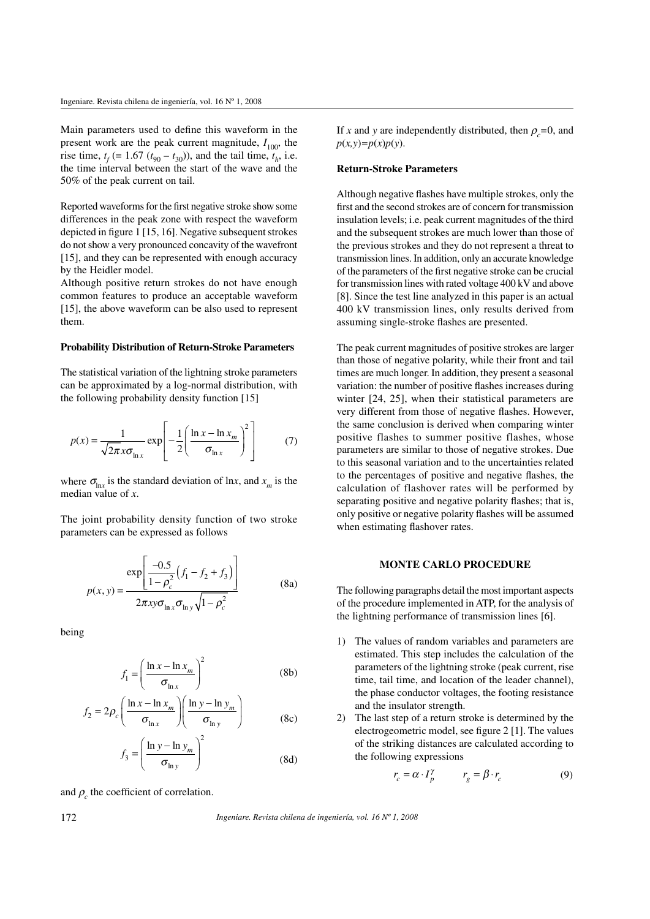Main parameters used to define this waveform in the present work are the peak current magnitude,  $I_{100}$ , the rise time,  $t_f$  (= 1.67 ( $t_{90} - t_{30}$ )), and the tail time,  $t_h$ , i.e. the time interval between the start of the wave and the 50% of the peak current on tail.

Reported waveforms for the first negative stroke show some differences in the peak zone with respect the waveform depicted in figure 1 [15, 16]. Negative subsequent strokes do not show a very pronounced concavity of the wavefront [15], and they can be represented with enough accuracy by the Heidler model.

Although positive return strokes do not have enough common features to produce an acceptable waveform [15], the above waveform can be also used to represent them.

#### **Probability Distribution of Return-Stroke Parameters**

The statistical variation of the lightning stroke parameters can be approximated by a log-normal distribution, with the following probability density function [15]

$$
p(x) = \frac{1}{\sqrt{2\pi} x \sigma_{\ln x}} \exp\left[-\frac{1}{2} \left(\frac{\ln x - \ln x_m}{\sigma_{\ln x}}\right)^2\right]
$$
(7)

where  $\sigma_{\ln x}$  is the standard deviation of ln*x*, and  $x_m$  is the median value of *x*.

The joint probability density function of two stroke parameters can be expressed as follows

$$
p(x, y) = \frac{\exp\left[\frac{-0.5}{1 - \rho_c^2} \left(f_1 - f_2 + f_3\right)\right]}{2\pi xy \sigma_{\ln x} \sigma_{\ln y} \sqrt{1 - \rho_c^2}}
$$
(8a)

being

$$
f_1 = \left(\frac{\ln x - \ln x_m}{\sigma_{\ln x}}\right)^2 \tag{8b}
$$

$$
f_2 = 2\rho_c \left( \frac{\ln x - \ln x_m}{\sigma_{\ln x}} \right) \left( \frac{\ln y - \ln y_m}{\sigma_{\ln y}} \right)
$$
 (8c)

$$
f_3 = \left(\frac{\ln y - \ln y_m}{\sigma_{\ln y}}\right)^2 \tag{8d}
$$

and  $\rho_c$  the coefficient of correlation.

If *x* and *y* are independently distributed, then  $\rho_c = 0$ , and  $p(x, y) = p(x)p(y)$ .

## **Return-Stroke Parameters**

Although negative flashes have multiple strokes, only the first and the second strokes are of concern for transmission insulation levels; i.e. peak current magnitudes of the third and the subsequent strokes are much lower than those of the previous strokes and they do not represent a threat to transmission lines. In addition, only an accurate knowledge of the parameters of the first negative stroke can be crucial for transmission lines with rated voltage 400 kV and above [8]. Since the test line analyzed in this paper is an actual 400 kV transmission lines, only results derived from assuming single-stroke flashes are presented.

The peak current magnitudes of positive strokes are larger than those of negative polarity, while their front and tail times are much longer. In addition, they present a seasonal variation: the number of positive flashes increases during winter [24, 25], when their statistical parameters are very different from those of negative flashes. However, the same conclusion is derived when comparing winter positive flashes to summer positive flashes, whose parameters are similar to those of negative strokes. Due to this seasonal variation and to the uncertainties related to the percentages of positive and negative flashes, the calculation of flashover rates will be performed by separating positive and negative polarity flashes; that is, only positive or negative polarity flashes will be assumed when estimating flashover rates.

## **MONTE CARLO PROCEDURE**

The following paragraphs detail the most important aspects of the procedure implemented in ATP, for the analysis of the lightning performance of transmission lines [6].

- 1) The values of random variables and parameters are estimated. This step includes the calculation of the parameters of the lightning stroke (peak current, rise time, tail time, and location of the leader channel), the phase conductor voltages, the footing resistance and the insulator strength.
- 2) The last step of a return stroke is determined by the electrogeometric model, see figure 2 [1]. The values of the striking distances are calculated according to the following expressions

$$
r_c = \alpha \cdot I_p^{\gamma} \qquad r_g = \beta \cdot r_c \tag{9}
$$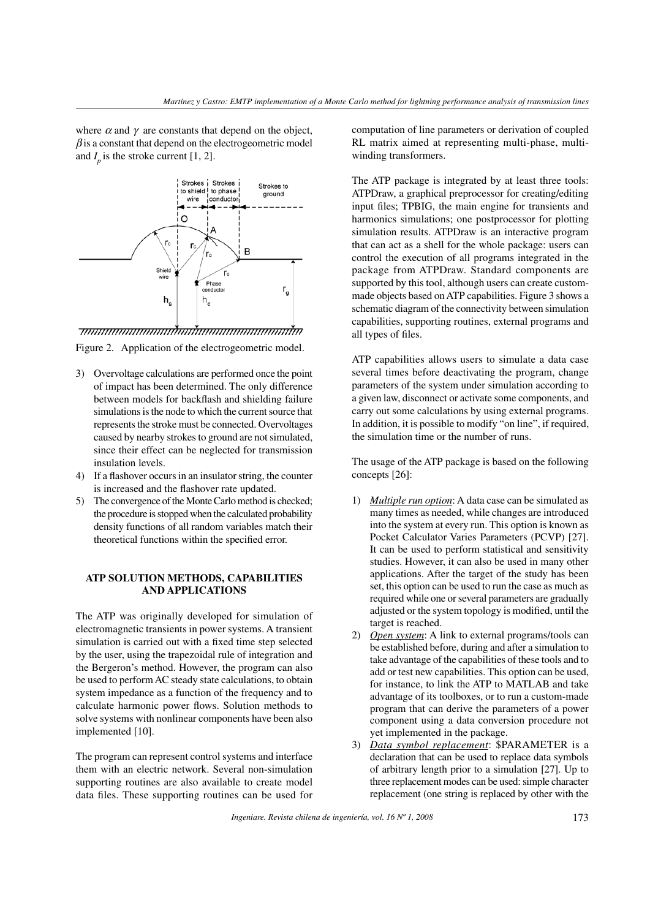where  $\alpha$  and  $\gamma$  are constants that depend on the object,  $\beta$  is a constant that depend on the electrogeometric model and  $I_p$  is the stroke current [1, 2].



Figure 2. Application of the electrogeometric model.

- 3) Overvoltage calculations are performed once the point of impact has been determined. The only difference between models for backflash and shielding failure simulations is the node to which the current source that represents the stroke must be connected. Overvoltages caused by nearby strokes to ground are not simulated, since their effect can be neglected for transmission insulation levels.
- 4) If a flashover occurs in an insulator string, the counter is increased and the flashover rate updated.
- 5) The convergence of the Monte Carlo method is checked; the procedure is stopped when the calculated probability density functions of all random variables match their theoretical functions within the specified error.

# **ATP SOLUTION METHODS, CAPABILITIES AND APPLICATIONS**

The ATP was originally developed for simulation of electromagnetic transients in power systems. A transient simulation is carried out with a fixed time step selected by the user, using the trapezoidal rule of integration and the Bergeron's method. However, the program can also be used to perform AC steady state calculations, to obtain system impedance as a function of the frequency and to calculate harmonic power flows. Solution methods to solve systems with nonlinear components have been also implemented [10].

The program can represent control systems and interface them with an electric network. Several non-simulation supporting routines are also available to create model data files. These supporting routines can be used for computation of line parameters or derivation of coupled RL matrix aimed at representing multi-phase, multiwinding transformers.

The ATP package is integrated by at least three tools: ATPDraw, a graphical preprocessor for creating/editing input files; TPBIG, the main engine for transients and harmonics simulations; one postprocessor for plotting simulation results. ATPDraw is an interactive program that can act as a shell for the whole package: users can control the execution of all programs integrated in the package from ATPDraw. Standard components are supported by this tool, although users can create custommade objects based on ATP capabilities. Figure 3 shows a schematic diagram of the connectivity between simulation capabilities, supporting routines, external programs and all types of files.

ATP capabilities allows users to simulate a data case several times before deactivating the program, change parameters of the system under simulation according to a given law, disconnect or activate some components, and carry out some calculations by using external programs. In addition, it is possible to modify "on line", if required, the simulation time or the number of runs.

The usage of the ATP package is based on the following concepts [26]:

- 1) *Multiple run option*: A data case can be simulated as many times as needed, while changes are introduced into the system at every run. This option is known as Pocket Calculator Varies Parameters (PCVP) [27]. It can be used to perform statistical and sensitivity studies. However, it can also be used in many other applications. After the target of the study has been set, this option can be used to run the case as much as required while one or several parameters are gradually adjusted or the system topology is modified, until the target is reached.
- 2) *Open system*: A link to external programs/tools can be established before, during and after a simulation to take advantage of the capabilities of these tools and to add or test new capabilities. This option can be used, for instance, to link the ATP to MATLAB and take advantage of its toolboxes, or to run a custom-made program that can derive the parameters of a power component using a data conversion procedure not yet implemented in the package.
- 3) *Data symbol replacement*: \$PARAMETER is a declaration that can be used to replace data symbols of arbitrary length prior to a simulation [27]. Up to three replacement modes can be used: simple character replacement (one string is replaced by other with the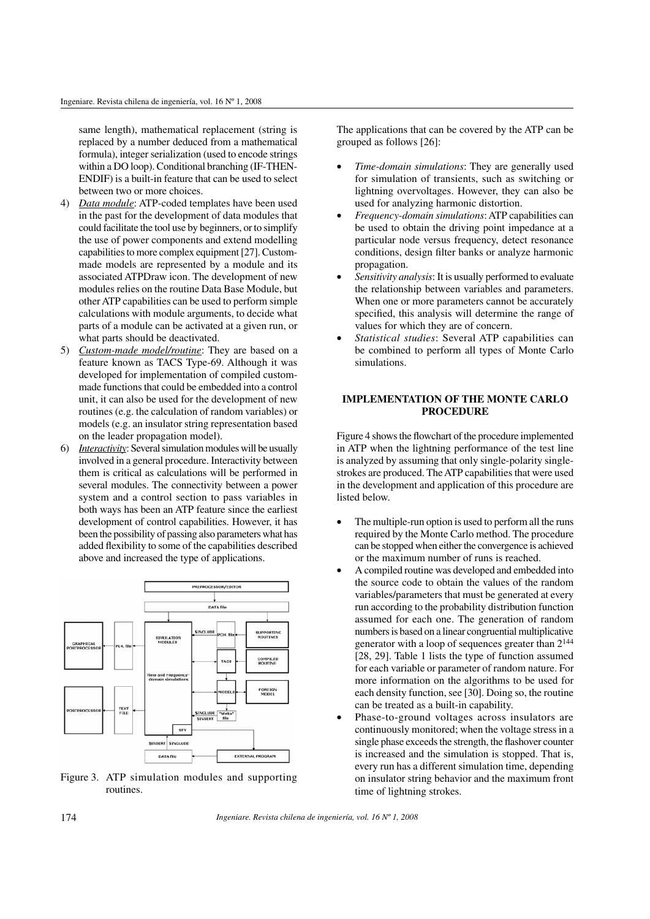same length), mathematical replacement (string is replaced by a number deduced from a mathematical formula), integer serialization (used to encode strings within a DO loop). Conditional branching (IF-THEN-ENDIF) is a built-in feature that can be used to select between two or more choices.

- 4) *Data module*: ATP-coded templates have been used in the past for the development of data modules that could facilitate the tool use by beginners, or to simplify the use of power components and extend modelling capabilities to more complex equipment [27]. Custommade models are represented by a module and its associated ATPDraw icon. The development of new modules relies on the routine Data Base Module, but other ATP capabilities can be used to perform simple calculations with module arguments, to decide what parts of a module can be activated at a given run, or what parts should be deactivated.
- 5) *Custom-made model/routine*: They are based on a feature known as TACS Type-69. Although it was developed for implementation of compiled custommade functions that could be embedded into a control unit, it can also be used for the development of new routines (e.g. the calculation of random variables) or models (e.g. an insulator string representation based on the leader propagation model).
- 6) *Interactivity*: Several simulation modules will be usually involved in a general procedure. Interactivity between them is critical as calculations will be performed in several modules. The connectivity between a power system and a control section to pass variables in both ways has been an ATP feature since the earliest development of control capabilities. However, it has been the possibility of passing also parameters what has added flexibility to some of the capabilities described above and increased the type of applications.



Figure 3. ATP simulation modules and supporting routines.

The applications that can be covered by the ATP can be grouped as follows [26]:

- Time-domain simulations: They are generally used for simulation of transients, such as switching or lightning overvoltages. However, they can also be used for analyzing harmonic distortion.
- w *Frequency-domain simulations*: ATP capabilities can be used to obtain the driving point impedance at a particular node versus frequency, detect resonance conditions, design filter banks or analyze harmonic propagation.
- Sensitivity analysis: It is usually performed to evaluate the relationship between variables and parameters. When one or more parameters cannot be accurately specified, this analysis will determine the range of values for which they are of concern.
- Statistical studies: Several ATP capabilities can be combined to perform all types of Monte Carlo simulations.

# **IMPLEMENTATION OF THE MONTE CARLO PROCEDURE**

Figure 4 shows the flowchart of the procedure implemented in ATP when the lightning performance of the test line is analyzed by assuming that only single-polarity singlestrokes are produced. The ATP capabilities that were used in the development and application of this procedure are listed below.

- The multiple-run option is used to perform all the runs required by the Monte Carlo method. The procedure can be stopped when either the convergence is achieved or the maximum number of runs is reached.
- A compiled routine was developed and embedded into the source code to obtain the values of the random variables/parameters that must be generated at every run according to the probability distribution function assumed for each one. The generation of random numbers is based on a linear congruential multiplicative generator with a loop of sequences greater than 2<sup>144</sup> [28, 29]. Table 1 lists the type of function assumed for each variable or parameter of random nature. For more information on the algorithms to be used for each density function, see [30]. Doing so, the routine can be treated as a built-in capability.
- Phase-to-ground voltages across insulators are continuously monitored; when the voltage stress in a single phase exceeds the strength, the flashover counter is increased and the simulation is stopped. That is, every run has a different simulation time, depending on insulator string behavior and the maximum front time of lightning strokes.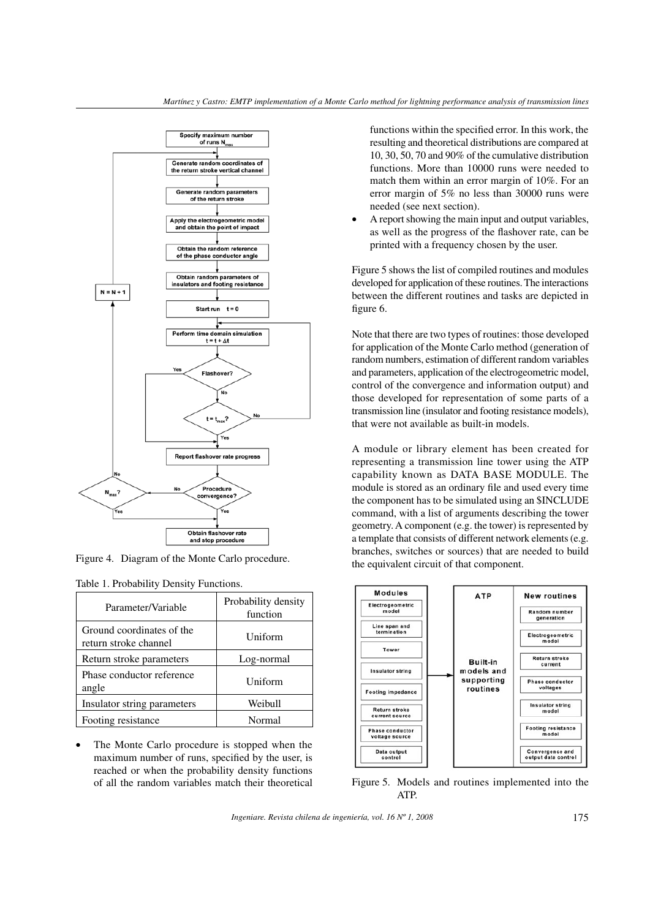

Figure 4. Diagram of the Monte Carlo procedure.

|  |  |  |  |  | Table 1. Probability Density Functions. |
|--|--|--|--|--|-----------------------------------------|
|--|--|--|--|--|-----------------------------------------|

| Parameter/Variable                                 | Probability density<br>function |
|----------------------------------------------------|---------------------------------|
| Ground coordinates of the<br>return stroke channel | Uniform                         |
| Return stroke parameters                           | Log-normal                      |
| Phase conductor reference<br>angle                 | Uniform                         |
| Insulator string parameters                        | Weibull                         |
| Footing resistance                                 | Normal                          |

The Monte Carlo procedure is stopped when the maximum number of runs, specified by the user, is reached or when the probability density functions of all the random variables match their theoretical

functions within the specified error. In this work, the resulting and theoretical distributions are compared at 10, 30, 50, 70 and 90% of the cumulative distribution functions. More than 10000 runs were needed to match them within an error margin of 10%. For an error margin of 5% no less than 30000 runs were needed (see next section).

A report showing the main input and output variables, as well as the progress of the flashover rate, can be printed with a frequency chosen by the user.

Figure 5 shows the list of compiled routines and modules developed for application of these routines. The interactions between the different routines and tasks are depicted in figure 6.

Note that there are two types of routines: those developed for application of the Monte Carlo method (generation of random numbers, estimation of different random variables and parameters, application of the electrogeometric model, control of the convergence and information output) and those developed for representation of some parts of a transmission line (insulator and footing resistance models), that were not available as built-in models.

A module or library element has been created for representing a transmission line tower using the ATP capability known as DATA BASE MODULE. The module is stored as an ordinary file and used every time the component has to be simulated using an \$INCLUDE command, with a list of arguments describing the tower geometry. A component (e.g. the tower) is represented by a template that consists of different network elements (e.g. branches, switches or sources) that are needed to build the equivalent circuit of that component.



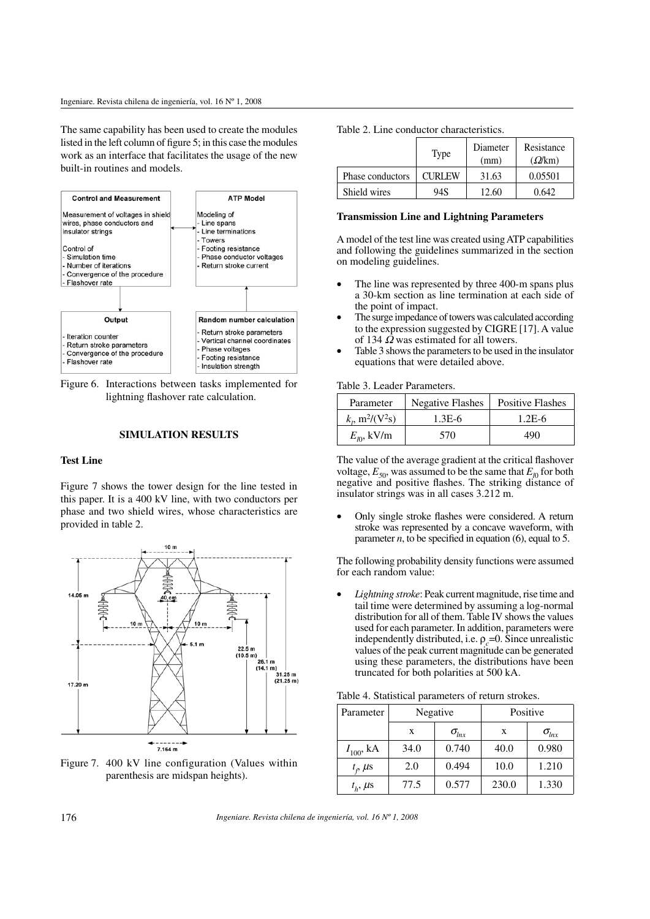The same capability has been used to create the modules listed in the left column of figure  $5$ ; in this case the modules work as an interface that facilitates the usage of the new built-in routines and models.



Figure 6. Interactions between tasks implemented for lightning flashover rate calculation.

## **SIMULATION RESULTS**

# **Test Line**

Figure 7 shows the tower design for the line tested in this paper. It is a 400 kV line, with two conductors per phase and two shield wires, whose characteristics are provided in table 2.



Figure 7. 400 kV line configuration (Values within parenthesis are midspan heights).

Table 2. Line conductor characteristics.

|                  | Type          | Diameter<br>(mm) | Resistance<br>(Q/km) |
|------------------|---------------|------------------|----------------------|
| Phase conductors | <b>CURLEW</b> | 31.63            | 0.05501              |
| Shield wires     | 94S           | 12.60            | 0.642.               |

#### **Transmission Line and Lightning Parameters**

A model of the test line was created using ATP capabilities and following the guidelines summarized in the section on modeling guidelines.

- The line was represented by three 400-m spans plus a 30-km section as line termination at each side of the point of impact.
- The surge impedance of towers was calculated according to the expression suggested by CIGRE [17]. A value of 134  $\Omega$  was estimated for all towers.
- Table 3 shows the parameters to be used in the insulator equations that were detailed above.

Table 3. Leader Parameters.

| Parameter                                        | <b>Negative Flashes</b> | <b>Positive Flashes</b> |
|--------------------------------------------------|-------------------------|-------------------------|
| $k_{\rm r}$ , m <sup>2</sup> /(V <sup>2</sup> s) | $1.3E-6$                | $1.2E-6$                |
| $E_{I0}$ , kV/m                                  | 570                     | 490                     |

The value of the average gradient at the critical flashover voltage,  $E_{50}$ , was assumed to be the same that  $E_{l0}$  for both negative and positive flashes. The striking distance of insulator strings was in all cases 3.212 m.

Only single stroke flashes were considered. A return stroke was represented by a concave waveform, with parameter  $n$ , to be specified in equation (6), equal to 5.

The following probability density functions were assumed for each random value:

Lightning stroke: Peak current magnitude, rise time and tail time were determined by assuming a log-normal distribution for all of them. Table IV shows the values used for each parameter. In addition, parameters were independently distributed, i.e.  $\rho_c$ =0. Since unrealistic values of the peak current magnitude can be generated using these parameters, the distributions have been truncated for both polarities at 500 kA.

| Parameter          | Negative |                | Positive |                |
|--------------------|----------|----------------|----------|----------------|
|                    | X        | $\sigma_{lnx}$ | X        | $\sigma_{lnx}$ |
| $I_{100}$ , kA     | 34.0     | 0.740          | 40.0     | 0.980          |
| $t_{\rho}$ $\mu$ s | 2.0      | 0.494          | 10.0     | 1.210          |
| $t_h$ , $\mu$ s    | 77.5     | 0.577          | 230.0    | 1.330          |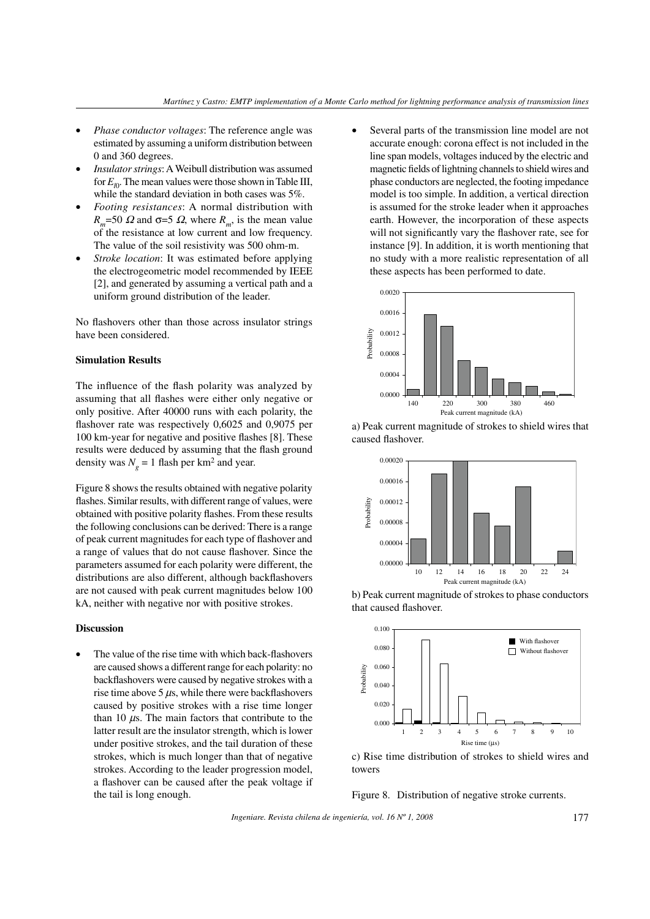- *Phase conductor voltages*: The reference angle was estimated by assuming a uniform distribution between 0 and 360 degrees.
- Insulator strings: A Weibull distribution was assumed for  $E_{10}$ . The mean values were those shown in Table III, while the standard deviation in both cases was 5%.
- Footing resistances: A normal distribution with  $R_m$ =50  $\Omega$  and  $\sigma$ =5  $\Omega$ , where  $R_m$ , is the mean value of the resistance at low current and low frequency. The value of the soil resistivity was 500 ohm-m.
- *Stroke location*: It was estimated before applying the electrogeometric model recommended by IEEE [2], and generated by assuming a vertical path and a uniform ground distribution of the leader.

No flashovers other than those across insulator strings have been considered.

## **Simulation Results**

The influence of the flash polarity was analyzed by assuming that all flashes were either only negative or only positive. After 40000 runs with each polarity, the flashover rate was respectively 0,6025 and 0,9075 per 100 km-year for negative and positive flashes [8]. These results were deduced by assuming that the flash ground density was  $N_g = 1$  flash per km<sup>2</sup> and year.

Figure 8 shows the results obtained with negative polarity flashes. Similar results, with different range of values, were obtained with positive polarity flashes. From these results the following conclusions can be derived: There is a range of peak current magnitudes for each type of flashover and a range of values that do not cause flashover. Since the parameters assumed for each polarity were different, the distributions are also different, although backflashovers are not caused with peak current magnitudes below 100 kA, neither with negative nor with positive strokes.

#### **Discussion**

The value of the rise time with which back-flashovers are caused shows a different range for each polarity: no backflashovers were caused by negative strokes with a rise time above  $5 \mu s$ , while there were backflashovers caused by positive strokes with a rise time longer than 10  $\mu$ s. The main factors that contribute to the latter result are the insulator strength, which is lower under positive strokes, and the tail duration of these strokes, which is much longer than that of negative strokes. According to the leader progression model, a flashover can be caused after the peak voltage if the tail is long enough.

Several parts of the transmission line model are not accurate enough: corona effect is not included in the line span models, voltages induced by the electric and magnetic fields of lightning channels to shield wires and phase conductors are neglected, the footing impedance model is too simple. In addition, a vertical direction is assumed for the stroke leader when it approaches earth. However, the incorporation of these aspects will not significantly vary the flashover rate, see for instance [9]. In addition, it is worth mentioning that no study with a more realistic representation of all these aspects has been performed to date.



a) Peak current magnitude of strokes to shield wires that caused flashover.







c) Rise time distribution of strokes to shield wires and towers

Figure 8. Distribution of negative stroke currents.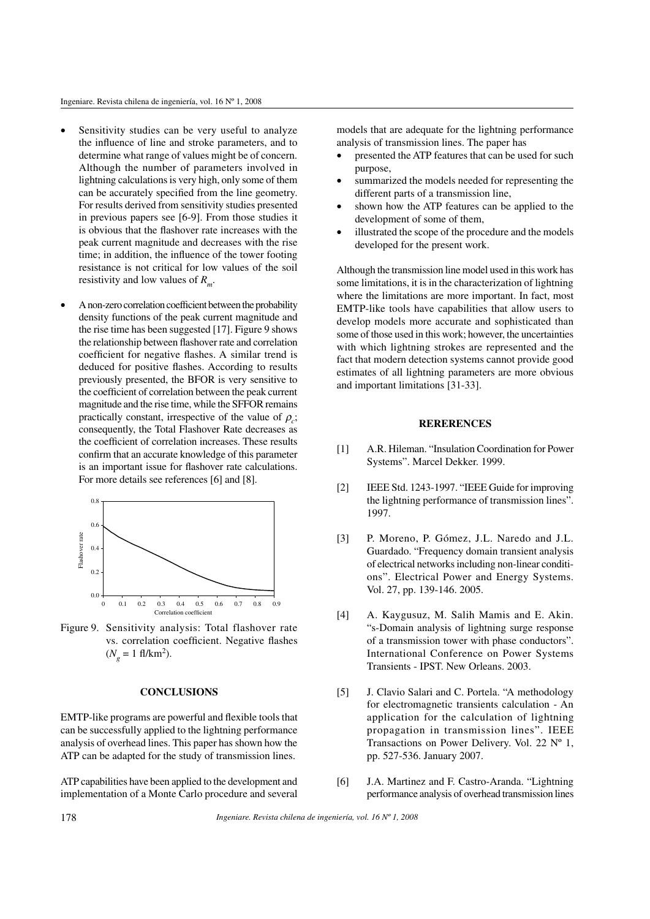- Sensitivity studies can be very useful to analyze the influence of line and stroke parameters, and to determine what range of values might be of concern. Although the number of parameters involved in lightning calculations is very high, only some of them can be accurately specified from the line geometry. For results derived from sensitivity studies presented in previous papers see [6-9]. From those studies it is obvious that the flashover rate increases with the peak current magnitude and decreases with the rise time; in addition, the influence of the tower footing resistance is not critical for low values of the soil resistivity and low values of *R<sup>m</sup>* .
- A non-zero correlation coefficient between the probability density functions of the peak current magnitude and the rise time has been suggested [17]. Figure 9 shows the relationship between flashover rate and correlation coefficient for negative flashes. A similar trend is deduced for positive flashes. According to results previously presented, the BFOR is very sensitive to the coefficient of correlation between the peak current magnitude and the rise time, while the SFFOR remains practically constant, irrespective of the value of  $\rho_c$ ; consequently, the Total Flashover Rate decreases as the coefficient of correlation increases. These results confirm that an accurate knowledge of this parameter is an important issue for flashover rate calculations. For more details see references [6] and [8].



Figure 9. Sensitivity analysis: Total flashover rate vs. correlation coefficient. Negative flashes  $(N_g = 1 \text{ fl/km}^2).$ 

### **CONCLUSIONS**

EMTP-like programs are powerful and flexible tools that can be successfully applied to the lightning performance analysis of overhead lines. This paper has shown how the ATP can be adapted for the study of transmission lines.

ATP capabilities have been applied to the development and implementation of a Monte Carlo procedure and several models that are adequate for the lightning performance analysis of transmission lines. The paper has

- presented the ATP features that can be used for such purpose,
- summarized the models needed for representing the different parts of a transmission line,
- shown how the ATP features can be applied to the development of some of them,
- illustrated the scope of the procedure and the models developed for the present work.

Although the transmission line model used in this work has some limitations, it is in the characterization of lightning where the limitations are more important. In fact, most EMTP-like tools have capabilities that allow users to develop models more accurate and sophisticated than some of those used in this work; however, the uncertainties with which lightning strokes are represented and the fact that modern detection systems cannot provide good estimates of all lightning parameters are more obvious and important limitations [31-33].

# **RERERENCES**

- [1] A.R. Hileman. "Insulation Coordination for Power Systems". Marcel Dekker. 1999.
- [2] IEEE Std. 1243-1997. "IEEE Guide for improving the lightning performance of transmission lines". 1997.
- [3] P. Moreno, P. Gómez, J.L. Naredo and J.L. Guardado. "Frequency domain transient analysis of electrical networks including non-linear conditions". Electrical Power and Energy Systems. Vol. 27, pp. 139-146. 2005.
- [4] A. Kaygusuz, M. Salih Mamis and E. Akin. "s-Domain analysis of lightning surge response of a transmission tower with phase conductors". International Conference on Power Systems Transients - IPST. New Orleans. 2003.
- [5] J. Clavio Salari and C. Portela. "A methodology for electromagnetic transients calculation - An application for the calculation of lightning propagation in transmission lines". IEEE Transactions on Power Delivery. Vol. 22  $N^{\circ}$  1, pp. 527-536. January 2007.
- [6] J.A. Martinez and F. Castro-Aranda. "Lightning performance analysis of overhead transmission lines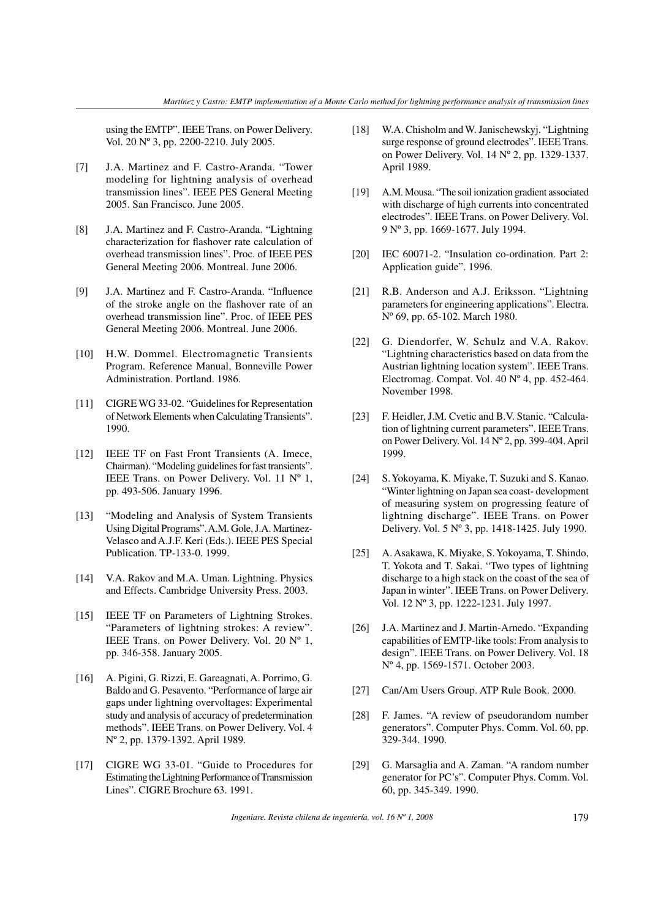using the EMTP". IEEE Trans. on Power Delivery. Vol. 20 Nº 3, pp. 2200-2210. July 2005.

- [7] J.A. Martinez and F. Castro-Aranda. "Tower modeling for lightning analysis of overhead transmission lines". IEEE PES General Meeting 2005. San Francisco. June 2005.
- [8] J.A. Martinez and F. Castro-Aranda. "Lightning characterization for flashover rate calculation of overhead transmission lines". Proc. of IEEE PES General Meeting 2006. Montreal. June 2006.
- [9] J.A. Martinez and F. Castro-Aranda. "Influence of the stroke angle on the flashover rate of an overhead transmission line". Proc. of IEEE PES General Meeting 2006. Montreal. June 2006.
- [10] H.W. Dommel. Electromagnetic Transients Program. Reference Manual, Bonneville Power Administration. Portland. 1986.
- [11] CIGRE WG 33-02. "Guidelines for Representation of Network Elements when Calculating Transients". 1990.
- [12] IEEE TF on Fast Front Transients (A. Imece, Chairman). "Modeling guidelines for fast transients". IEEE Trans. on Power Delivery. Vol. 11 Nº 1, pp. 493-506. January 1996.
- [13] "Modeling and Analysis of System Transients Using Digital Programs". A.M. Gole, J.A. Martinez-Velasco and A.J.F. Keri (Eds.). IEEE PES Special Publication. TP-133-0. 1999.
- [14] V.A. Rakov and M.A. Uman. Lightning. Physics and Effects. Cambridge University Press. 2003.
- [15] IEEE TF on Parameters of Lightning Strokes. "Parameters of lightning strokes: A review". IEEE Trans. on Power Delivery. Vol. 20 Nº 1, pp. 346-358. January 2005.
- [16] A. Pigini, G. Rizzi, E. Gareagnati, A. Porrimo, G. Baldo and G. Pesavento. "Performance of large air gaps under lightning overvoltages: Experimental study and analysis of accuracy of predetermination methods". IEEE Trans. on Power Delivery. Vol. 4 Nº 2, pp. 1379-1392. April 1989.
- [17] CIGRE WG 33-01. "Guide to Procedures for Estimating the Lightning Performance of Transmission Lines". CIGRE Brochure 63. 1991.
- [18] W.A. Chisholm and W. Janischewskyj. "Lightning surge response of ground electrodes". IEEE Trans. on Power Delivery. Vol. 14 Nº 2, pp. 1329-1337. April 1989.
- [19] A.M. Mousa. "The soil ionization gradient associated with discharge of high currents into concentrated electrodes". IEEE Trans. on Power Delivery. Vol. 9 Nº 3, pp. 1669-1677. July 1994.
- [20] IEC 60071-2. "Insulation co-ordination. Part 2: Application guide". 1996.
- [21] R.B. Anderson and A.J. Eriksson. "Lightning parameters for engineering applications". Electra. Nº 69, pp. 65-102. March 1980.
- [22] G. Diendorfer, W. Schulz and V.A. Rakov. "Lightning characteristics based on data from the Austrian lightning location system". IEEE Trans. Electromag. Compat. Vol. 40 Nº 4, pp. 452-464. November 1998.
- [23] F. Heidler, J.M. Cvetic and B.V. Stanic. "Calculation of lightning current parameters". IEEE Trans. on Power Delivery. Vol. 14 Nº 2, pp. 399-404. April 1999.
- [24] S. Yokoyama, K. Miyake, T. Suzuki and S. Kanao. "Winter lightning on Japan sea coast- development of measuring system on progressing feature of lightning discharge". IEEE Trans. on Power Delivery. Vol. 5 Nº 3, pp. 1418-1425. July 1990.
- [25] A. Asakawa, K. Miyake, S. Yokoyama, T. Shindo, T. Yokota and T. Sakai. "Two types of lightning discharge to a high stack on the coast of the sea of Japan in winter". IEEE Trans. on Power Delivery. Vol. 12 Nº 3, pp. 1222-1231. July 1997.
- [26] J.A. Martinez and J. Martin-Arnedo. "Expanding" capabilities of EMTP-like tools: From analysis to design". IEEE Trans. on Power Delivery. Vol. 18 Nº 4, pp. 1569-1571. October 2003.
- [27] Can/Am Users Group. ATP Rule Book. 2000.
- [28] F. James. "A review of pseudorandom number generators". Computer Phys. Comm. Vol. 60, pp. 329-344. 1990.
- [29] G. Marsaglia and A. Zaman. "A random number generator for PC's". Computer Phys. Comm. Vol. 60, pp. 345-349. 1990.